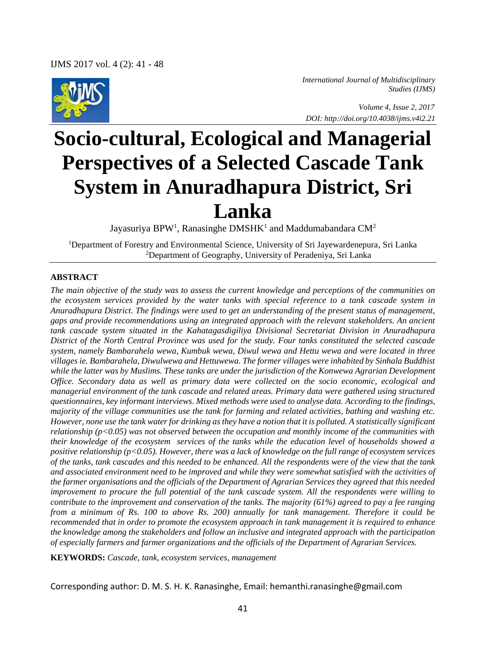

*International Journal of Multidisciplinary Studies (IJMS)* 

 *Volume 4, Issue 2, 2017 DOI: http://doi.org/10.4038/ijms.v4i2.21*

# **Socio-cultural, Ecological and Managerial Perspectives of a Selected Cascade Tank System in Anuradhapura District, Sri Lanka**

Jayasuriya BPW<sup>1</sup>, Ranasinghe DMSHK<sup>1</sup> and Maddumabandara CM<sup>2</sup>

<sup>1</sup>Department of Forestry and Environmental Science, University of Sri Jayewardenepura, Sri Lanka <sup>2</sup>Department of Geography, University of Peradeniya, Sri Lanka

#### **ABSTRACT**

*The main objective of the study was to assess the current knowledge and perceptions of the communities on the ecosystem services provided by the water tanks with special reference to a tank cascade system in Anuradhapura District. The findings were used to get an understanding of the present status of management, gaps and provide recommendations using an integrated approach with the relevant stakeholders. An ancient tank cascade system situated in the Kahatagasdigiliya Divisional Secretariat Division in Anuradhapura District of the North Central Province was used for the study. Four tanks constituted the selected cascade system, namely Bambarahela wewa, Kumbuk wewa, Diwul wewa and Hettu wewa and were located in three villages ie. Bambarahela, Diwulwewa and Hettuwewa. The former villages were inhabited by Sinhala Buddhist while the latter was by Muslims. These tanks are under the jurisdiction of the Konwewa Agrarian Development Office. Secondary data as well as primary data were collected on the socio economic, ecological and managerial environment of the tank cascade and related areas. Primary data were gathered using structured questionnaires, key informant interviews. Mixed methods were used to analyse data. According to the findings, majority of the village communities use the tank for farming and related activities, bathing and washing etc. However, none use the tank water for drinking as they have a notion that it is polluted. A statistically significant relationship (p<0.05) was not observed between the occupation and monthly income of the communities with their knowledge of the ecosystem services of the tanks while the education level of households showed a positive relationship (p<0.05). However, there was a lack of knowledge on the full range of ecosystem services of the tanks, tank cascades and this needed to be enhanced. All the respondents were of the view that the tank and associated environment need to be improved and while they were somewhat satisfied with the activities of the farmer organisations and the officials of the Department of Agrarian Services they agreed that this needed improvement to procure the full potential of the tank cascade system. All the respondents were willing to contribute to the improvement and conservation of the tanks. The majority (61%) agreed to pay a fee ranging from a minimum of Rs. 100 to above Rs. 200) annually for tank management. Therefore it could be recommended that in order to promote the ecosystem approach in tank management it is required to enhance the knowledge among the stakeholders and follow an inclusive and integrated approach with the participation of especially farmers and farmer organizations and the officials of the Department of Agrarian Services.*

**KEYWORDS:** *Cascade, tank, ecosystem services, management*

Corresponding author: D. M. S. H. K. Ranasinghe, Email: hemanthi.ranasinghe@gmail.com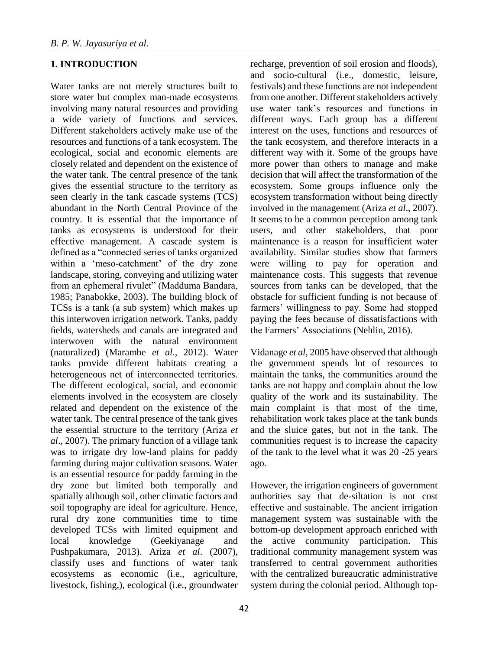## **1. INTRODUCTION**

Water tanks are not merely structures built to store water but complex man-made ecosystems involving many natural resources and providing a wide variety of functions and services. Different stakeholders actively make use of the resources and functions of a tank ecosystem. The ecological, social and economic elements are closely related and dependent on the existence of the water tank. The central presence of the tank gives the essential structure to the territory as seen clearly in the tank cascade systems (TCS) abundant in the North Central Province of the country. It is essential that the importance of tanks as ecosystems is understood for their effective management. A cascade system is defined as a "connected series of tanks organized within a 'meso-catchment' of the dry zone landscape, storing, conveying and utilizing water from an ephemeral rivulet" (Madduma Bandara, 1985; Panabokke, 2003). The building block of TCSs is a tank (a sub system) which makes up this interwoven irrigation network. Tanks, paddy fields, watersheds and canals are integrated and interwoven with the natural environment (naturalized) (Marambe *et al*., 2012). Water tanks provide different habitats creating a heterogeneous net of interconnected territories. The different ecological, social, and economic elements involved in the ecosystem are closely related and dependent on the existence of the water tank. The central presence of the tank gives the essential structure to the territory (Ariza *et al*., 2007). The primary function of a village tank was to irrigate dry low-land plains for paddy farming during major cultivation seasons. Water is an essential resource for paddy farming in the dry zone but limited both temporally and spatially although soil, other climatic factors and soil topography are ideal for agriculture. Hence, rural dry zone communities time to time developed TCSs with limited equipment and local knowledge (Geekiyanage and Pushpakumara, 2013). Ariza *et al*. (2007), classify uses and functions of water tank ecosystems as economic (i.e., agriculture, livestock, fishing,), ecological (i.e., groundwater

recharge, prevention of soil erosion and floods), and socio-cultural (i.e., domestic, leisure, festivals) and these functions are not independent from one another. Different stakeholders actively use water tank's resources and functions in different ways. Each group has a different interest on the uses, functions and resources of the tank ecosystem, and therefore interacts in a different way with it. Some of the groups have more power than others to manage and make decision that will affect the transformation of the ecosystem. Some groups influence only the ecosystem transformation without being directly involved in the management (Ariza *et al*., 2007). It seems to be a common perception among tank users, and other stakeholders, that poor maintenance is a reason for insufficient water availability. Similar studies show that farmers were willing to pay for operation and maintenance costs. This suggests that revenue sources from tanks can be developed, that the obstacle for sufficient funding is not because of farmers' willingness to pay. Some had stopped paying the fees because of dissatisfactions with the Farmers' Associations (Nehlin, 2016).

Vidanage *et al*, 2005 have observed that although the government spends lot of resources to maintain the tanks, the communities around the tanks are not happy and complain about the low quality of the work and its sustainability. The main complaint is that most of the time, rehabilitation work takes place at the tank bunds and the sluice gates, but not in the tank. The communities request is to increase the capacity of the tank to the level what it was 20 -25 years ago.

However, the irrigation engineers of government authorities say that de-siltation is not cost effective and sustainable. The ancient irrigation management system was sustainable with the bottom-up development approach enriched with the active community participation. This traditional community management system was transferred to central government authorities with the centralized bureaucratic administrative system during the colonial period. Although top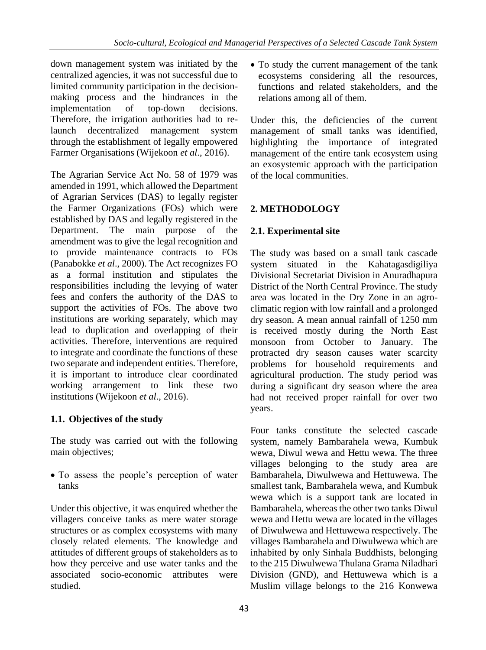down management system was initiated by the centralized agencies, it was not successful due to limited community participation in the decisionmaking process and the hindrances in the implementation of top-down decisions. Therefore, the irrigation authorities had to relaunch decentralized management system through the establishment of legally empowered Farmer Organisations (Wijekoon *et al*., 2016).

The Agrarian Service Act No. 58 of 1979 was amended in 1991, which allowed the Department of Agrarian Services (DAS) to legally register the Farmer Organizations (FOs) which were established by DAS and legally registered in the Department. The main purpose of the amendment was to give the legal recognition and to provide maintenance contracts to FOs (Panabokke *et al*., 2000). The Act recognizes FO as a formal institution and stipulates the responsibilities including the levying of water fees and confers the authority of the DAS to support the activities of FOs. The above two institutions are working separately, which may lead to duplication and overlapping of their activities. Therefore, interventions are required to integrate and coordinate the functions of these two separate and independent entities. Therefore, it is important to introduce clear coordinated working arrangement to link these two institutions (Wijekoon *et al*., 2016).

# **1.1. Objectives of the study**

The study was carried out with the following main objectives;

 To assess the people's perception of water tanks

Under this objective, it was enquired whether the villagers conceive tanks as mere water storage structures or as complex ecosystems with many closely related elements. The knowledge and attitudes of different groups of stakeholders as to how they perceive and use water tanks and the associated socio-economic attributes were studied.

• To study the current management of the tank ecosystems considering all the resources, functions and related stakeholders, and the relations among all of them.

Under this, the deficiencies of the current management of small tanks was identified, highlighting the importance of integrated management of the entire tank ecosystem using an exosystemic approach with the participation of the local communities.

# **2. METHODOLOGY**

# **2.1. Experimental site**

The study was based on a small tank cascade system situated in the Kahatagasdigiliya Divisional Secretariat Division in Anuradhapura District of the North Central Province. The study area was located in the Dry Zone in an agroclimatic region with low rainfall and a prolonged dry season. A mean annual rainfall of 1250 mm is received mostly during the North East monsoon from October to January. The protracted dry season causes water scarcity problems for household requirements and agricultural production. The study period was during a significant dry season where the area had not received proper rainfall for over two years.

Four tanks constitute the selected cascade system, namely Bambarahela wewa, Kumbuk wewa, Diwul wewa and Hettu wewa. The three villages belonging to the study area are Bambarahela, Diwulwewa and Hettuwewa. The smallest tank, Bambarahela wewa, and Kumbuk wewa which is a support tank are located in Bambarahela, whereas the other two tanks Diwul wewa and Hettu wewa are located in the villages of Diwulwewa and Hettuwewa respectively. The villages Bambarahela and Diwulwewa which are inhabited by only Sinhala Buddhists, belonging to the 215 Diwulwewa Thulana Grama Niladhari Division (GND), and Hettuwewa which is a Muslim village belongs to the 216 Konwewa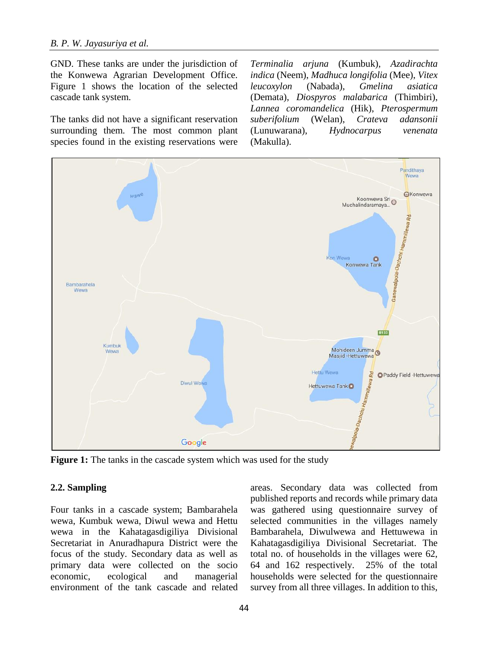GND. These tanks are under the jurisdiction of the Konwewa Agrarian Development Office. Figure 1 shows the location of the selected cascade tank system.

The tanks did not have a significant reservation surrounding them. The most common plant species found in the existing reservations were

*Terminalia arjuna* (Kumbuk), *Azadirachta indica* (Neem), *Madhuca longifolia* (Mee), *Vitex leucoxylon* (Nabada), *Gmelina asiatica*  (Demata), *Diospyros malabarica* (Thimbiri), *Lannea coromandelica* (Hik), *Pterospermum suberifolium* (Welan), *Crateva adansonii* (Lunuwarana), *Hydnocarpus venenata* (Makulla).



**Figure 1:** The tanks in the cascade system which was used for the study

### **2.2. Sampling**

Four tanks in a cascade system; Bambarahela wewa, Kumbuk wewa, Diwul wewa and Hettu wewa in the Kahatagasdigiliya Divisional Secretariat in Anuradhapura District were the focus of the study. Secondary data as well as primary data were collected on the socio economic, ecological and managerial environment of the tank cascade and related

areas. Secondary data was collected from published reports and records while primary data was gathered using questionnaire survey of selected communities in the villages namely Bambarahela, Diwulwewa and Hettuwewa in Kahatagasdigiliya Divisional Secretariat. The total no. of households in the villages were 62, 64 and 162 respectively. 25% of the total households were selected for the questionnaire survey from all three villages. In addition to this,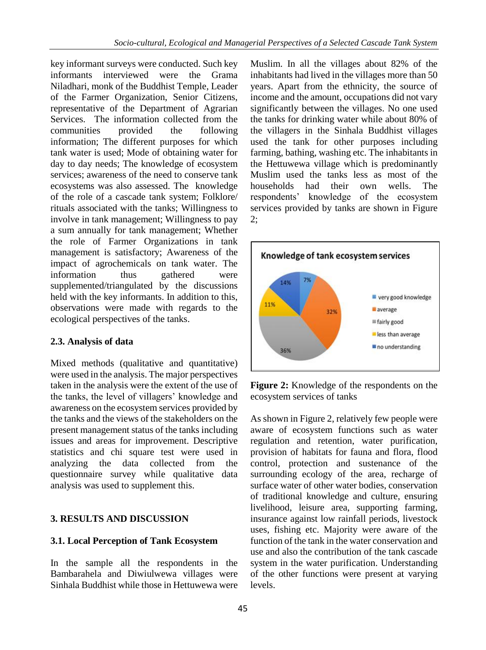key informant surveys were conducted. Such key informants interviewed were the Grama Niladhari, monk of the Buddhist Temple, Leader of the Farmer Organization, Senior Citizens, representative of the Department of Agrarian Services. The information collected from the communities provided the following information; The different purposes for which tank water is used; Mode of obtaining water for day to day needs; The knowledge of ecosystem services; awareness of the need to conserve tank ecosystems was also assessed. The knowledge of the role of a cascade tank system; Folklore/ rituals associated with the tanks; Willingness to involve in tank management; Willingness to pay a sum annually for tank management; Whether the role of Farmer Organizations in tank management is satisfactory; Awareness of the impact of agrochemicals on tank water. The information thus gathered were supplemented/triangulated by the discussions held with the key informants. In addition to this, observations were made with regards to the ecological perspectives of the tanks.

## **2.3. Analysis of data**

Mixed methods (qualitative and quantitative) were used in the analysis. The major perspectives taken in the analysis were the extent of the use of the tanks, the level of villagers' knowledge and awareness on the ecosystem services provided by the tanks and the views of the stakeholders on the present management status of the tanks including issues and areas for improvement. Descriptive statistics and chi square test were used in analyzing the data collected from the questionnaire survey while qualitative data analysis was used to supplement this.

# **3. RESULTS AND DISCUSSION**

## **3.1. Local Perception of Tank Ecosystem**

In the sample all the respondents in the Bambarahela and Diwiulwewa villages were Sinhala Buddhist while those in Hettuwewa were Muslim. In all the villages about 82% of the inhabitants had lived in the villages more than 50 years. Apart from the ethnicity, the source of income and the amount, occupations did not vary significantly between the villages. No one used the tanks for drinking water while about 80% of the villagers in the Sinhala Buddhist villages used the tank for other purposes including farming, bathing, washing etc. The inhabitants in the Hettuwewa village which is predominantly Muslim used the tanks less as most of the households had their own wells. The respondents' knowledge of the ecosystem services provided by tanks are shown in Figure 2;



**Figure 2:** Knowledge of the respondents on the ecosystem services of tanks

As shown in Figure 2, relatively few people were aware of ecosystem functions such as water regulation and retention, water purification, provision of habitats for fauna and flora, flood control, protection and sustenance of the surrounding ecology of the area, recharge of surface water of other water bodies, conservation of traditional knowledge and culture, ensuring livelihood, leisure area, supporting farming, insurance against low rainfall periods, livestock uses, fishing etc. Majority were aware of the function of the tank in the water conservation and use and also the contribution of the tank cascade system in the water purification. Understanding of the other functions were present at varying levels.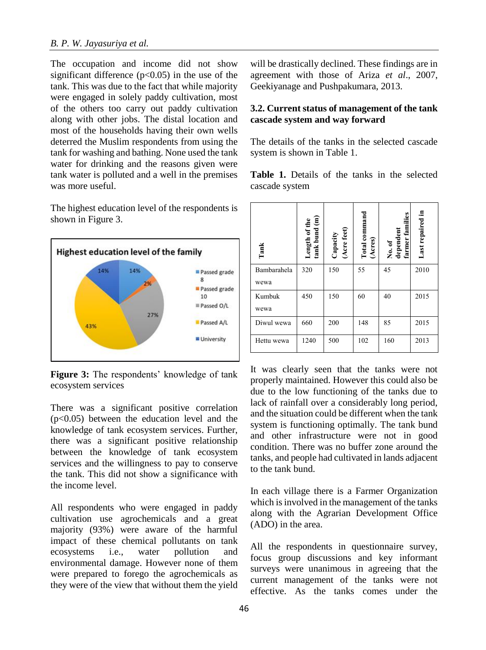The occupation and income did not show significant difference  $(p<0.05)$  in the use of the tank. This was due to the fact that while majority were engaged in solely paddy cultivation, most of the others too carry out paddy cultivation along with other jobs. The distal location and most of the households having their own wells deterred the Muslim respondents from using the tank for washing and bathing. None used the tank water for drinking and the reasons given were tank water is polluted and a well in the premises was more useful.

The highest education level of the respondents is shown in Figure 3.



**Figure 3:** The respondents' knowledge of tank ecosystem services

There was a significant positive correlation  $(p<0.05)$  between the education level and the knowledge of tank ecosystem services. Further, there was a significant positive relationship between the knowledge of tank ecosystem services and the willingness to pay to conserve the tank. This did not show a significance with the income level.

All respondents who were engaged in paddy cultivation use agrochemicals and a great majority (93%) were aware of the harmful impact of these chemical pollutants on tank ecosystems i.e., water pollution and environmental damage. However none of them were prepared to forego the agrochemicals as they were of the view that without them the yield

will be drastically declined. These findings are in agreement with those of Ariza *et al*., 2007, Geekiyanage and Pushpakumara, 2013.

### **3.2. Current status of management of the tank cascade system and way forward**

The details of the tanks in the selected cascade system is shown in Table 1.

**Table 1.** Details of the tanks in the selected cascade system

| Tank                | Length of the<br>tank bund $(m)$ | (Acre feet)<br>Capacity | Total command<br>(Acres) | farmer families<br>No. of<br>dependent | Last repaired in |
|---------------------|----------------------------------|-------------------------|--------------------------|----------------------------------------|------------------|
| Bambarahela<br>wewa | 320                              | 150                     | 55                       | 45                                     | 2010             |
| Kumbuk<br>wewa      | 450                              | 150                     | 60                       | 40                                     | 2015             |
| Diwul wewa          | 660                              | 200                     | 148                      | 85                                     | 2015             |
| Hettu wewa          | 1240                             | 500                     | 102                      | 160                                    | 2013             |

It was clearly seen that the tanks were not properly maintained. However this could also be due to the low functioning of the tanks due to lack of rainfall over a considerably long period, and the situation could be different when the tank system is functioning optimally. The tank bund and other infrastructure were not in good condition. There was no buffer zone around the tanks, and people had cultivated in lands adjacent to the tank bund.

In each village there is a Farmer Organization which is involved in the management of the tanks along with the Agrarian Development Office (ADO) in the area.

All the respondents in questionnaire survey, focus group discussions and key informant surveys were unanimous in agreeing that the current management of the tanks were not effective. As the tanks comes under the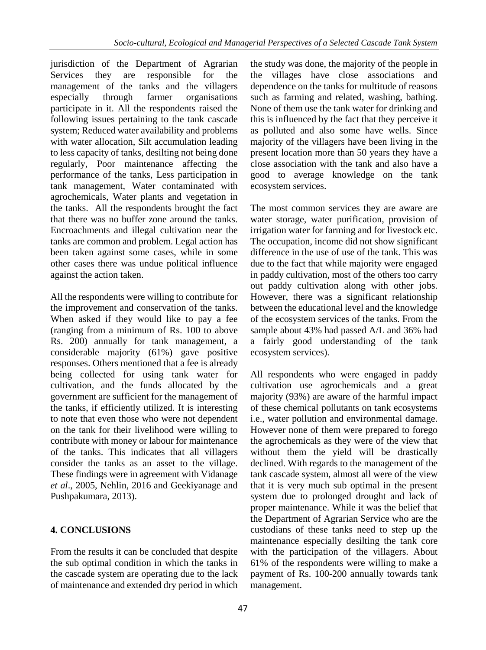jurisdiction of the Department of Agrarian Services they are responsible for the management of the tanks and the villagers especially through farmer organisations participate in it. All the respondents raised the following issues pertaining to the tank cascade system; Reduced water availability and problems with water allocation, Silt accumulation leading to less capacity of tanks, desilting not being done regularly, Poor maintenance affecting the performance of the tanks, Less participation in tank management, Water contaminated with agrochemicals, Water plants and vegetation in the tanks. All the respondents brought the fact that there was no buffer zone around the tanks. Encroachments and illegal cultivation near the tanks are common and problem. Legal action has been taken against some cases, while in some other cases there was undue political influence against the action taken.

All the respondents were willing to contribute for the improvement and conservation of the tanks. When asked if they would like to pay a fee (ranging from a minimum of Rs. 100 to above Rs. 200) annually for tank management, a considerable majority (61%) gave positive responses. Others mentioned that a fee is already being collected for using tank water for cultivation, and the funds allocated by the government are sufficient for the management of the tanks, if efficiently utilized. It is interesting to note that even those who were not dependent on the tank for their livelihood were willing to contribute with money or labour for maintenance of the tanks. This indicates that all villagers consider the tanks as an asset to the village. These findings were in agreement with Vidanage *et al*., 2005, Nehlin, 2016 and Geekiyanage and Pushpakumara, 2013).

# **4. CONCLUSIONS**

From the results it can be concluded that despite the sub optimal condition in which the tanks in the cascade system are operating due to the lack of maintenance and extended dry period in which the study was done, the majority of the people in the villages have close associations and dependence on the tanks for multitude of reasons such as farming and related, washing, bathing. None of them use the tank water for drinking and this is influenced by the fact that they perceive it as polluted and also some have wells. Since majority of the villagers have been living in the present location more than 50 years they have a close association with the tank and also have a good to average knowledge on the tank ecosystem services.

The most common services they are aware are water storage, water purification, provision of irrigation water for farming and for livestock etc. The occupation, income did not show significant difference in the use of use of the tank. This was due to the fact that while majority were engaged in paddy cultivation, most of the others too carry out paddy cultivation along with other jobs. However, there was a significant relationship between the educational level and the knowledge of the ecosystem services of the tanks. From the sample about 43% had passed A/L and 36% had a fairly good understanding of the tank ecosystem services).

All respondents who were engaged in paddy cultivation use agrochemicals and a great majority (93%) are aware of the harmful impact of these chemical pollutants on tank ecosystems i.e., water pollution and environmental damage. However none of them were prepared to forego the agrochemicals as they were of the view that without them the yield will be drastically declined. With regards to the management of the tank cascade system, almost all were of the view that it is very much sub optimal in the present system due to prolonged drought and lack of proper maintenance. While it was the belief that the Department of Agrarian Service who are the custodians of these tanks need to step up the maintenance especially desilting the tank core with the participation of the villagers. About 61% of the respondents were willing to make a payment of Rs. 100-200 annually towards tank management.